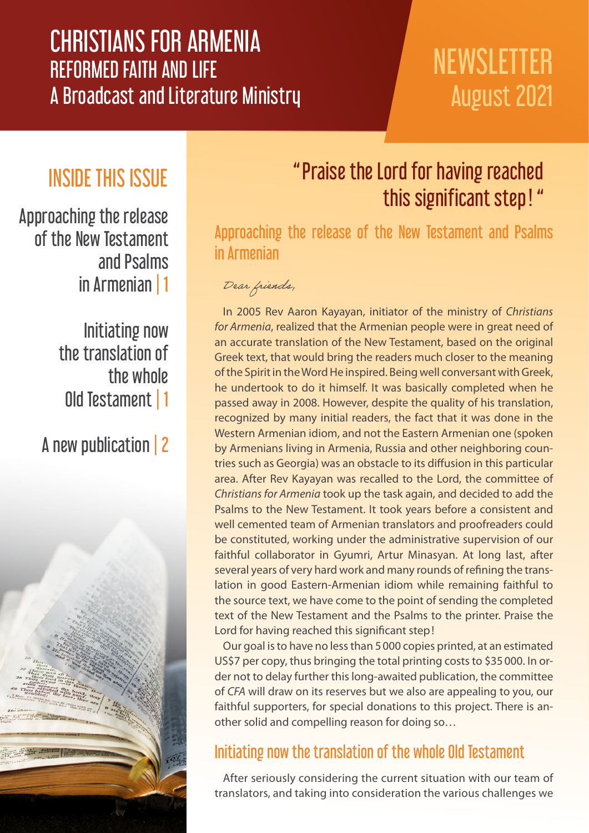## CHRISTIANS FOR ARMENIA REFORMED FAITH AND LIFE A Broadcast and Literature Ministry

# **NEWSLETTER** August 2021

### INSIDE THIS ISSUE

Approaching the release of the New Testament and Psalms in Armenian | 1

> Initiating now the translation of the whole Old Testament | 1

### A new publication | 2



### "Praise the Lord for having reached this significant step ! "

Approaching the release of the New Testament and Psalms in Armenian

#### Dear friends,

In 2005 Rev Aaron Kayayan, initiator of the ministry of *Christians for Armenia*, realized that the Armenian people were in great need of an accurate translation of the New Testament, based on the original Greek text, that would bring the readers much closer to the meaning of the Spirit in the Word He inspired. Being well conversant with Greek, he undertook to do it himself. It was basically completed when he passed away in 2008. However, despite the quality of his translation, recognized by many initial readers, the fact that it was done in the Western Armenian idiom, and not the Eastern Armenian one (spoken by Armenians living in Armenia, Russia and other neighboring countries such as Georgia) was an obstacle to its diffusion in this particular area. After Rev Kayayan was recalled to the Lord, the committee of *Christians for Armenia* took up the task again, and decided to add the Psalms to the New Testament. It took years before a consistent and well cemented team of Armenian translators and proofreaders could be constituted, working under the administrative supervision of our faithful collaborator in Gyumri, Artur Minasyan. At long last, after several years of very hard work and many rounds of refining the translation in good Eastern-Armenian idiom while remaining faithful to the source text, we have come to the point of sending the completed text of the New Testament and the Psalms to the printer. Praise the Lord for having reached this significant step!

Our goal is to have no less than 5000 copies printed, at an estimated US\$7 per copy, thus bringing the total printing costs to \$35000. In order not to delay further this long-awaited publication, the committee of *CFA* will draw on its reserves but we also are appealing to you, our faithful supporters, for special donations to this project. There is another solid and compelling reason for doing so…

### Initiating now the translation of the whole Old Testament

After seriously considering the current situation with our team of translators, and taking into consideration the various challenges we